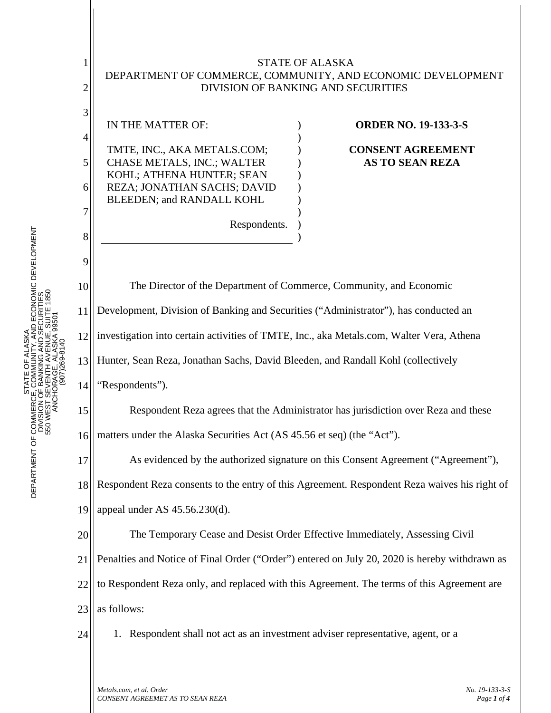

*CONSENT AGREEMET AS TO SEAN REZA Page 1 of 4*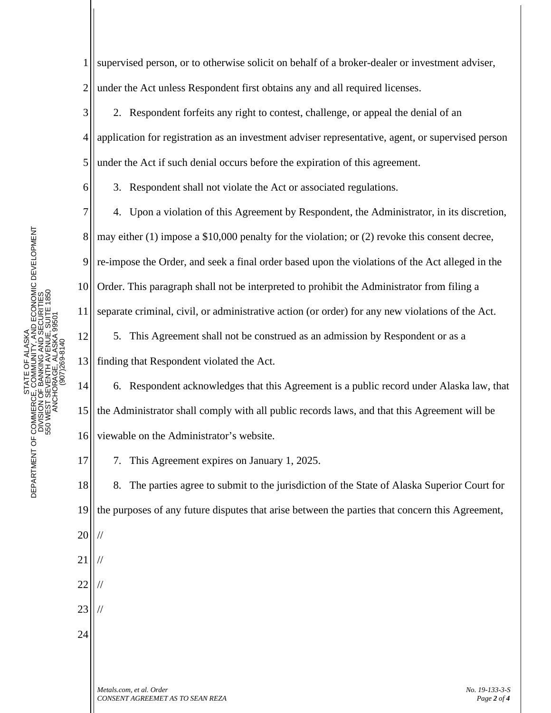6

8

9

10

11

12

13

17

1 2 supervised person, or to otherwise solicit on behalf of a broker-dealer or investment adviser, under the Act unless Respondent first obtains any and all required licenses.

3 4 5 2. Respondent forfeits any right to contest, challenge, or appeal the denial of an application for registration as an investment adviser representative, agent, or supervised person under the Act if such denial occurs before the expiration of this agreement.

3. Respondent shall not violate the Act or associated regulations.

7 4. Upon a violation of this Agreement by Respondent, the Administrator, in its discretion, may either (1) impose a \$10,000 penalty for the violation; or (2) revoke this consent decree, re-impose the Order, and seek a final order based upon the violations of the Act alleged in the Order. This paragraph shall not be interpreted to prohibit the Administrator from filing a separate criminal, civil, or administrative action (or order) for any new violations of the Act. 5. This Agreement shall not be construed as an admission by Respondent or as a finding that Respondent violated the Act.

14 15 16 6. Respondent acknowledges that this Agreement is a public record under Alaska law, that the Administrator shall comply with all public records laws, and that this Agreement will be viewable on the Administrator's website.

7. This Agreement expires on January 1, 2025.

18 19 8. The parties agree to submit to the jurisdiction of the State of Alaska Superior Court for the purposes of any future disputes that arise between the parties that concern this Agreement,

20

23 //

//

24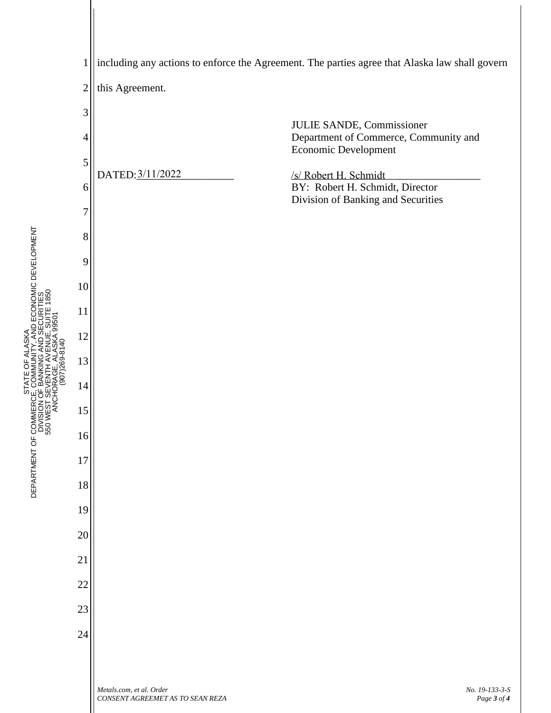